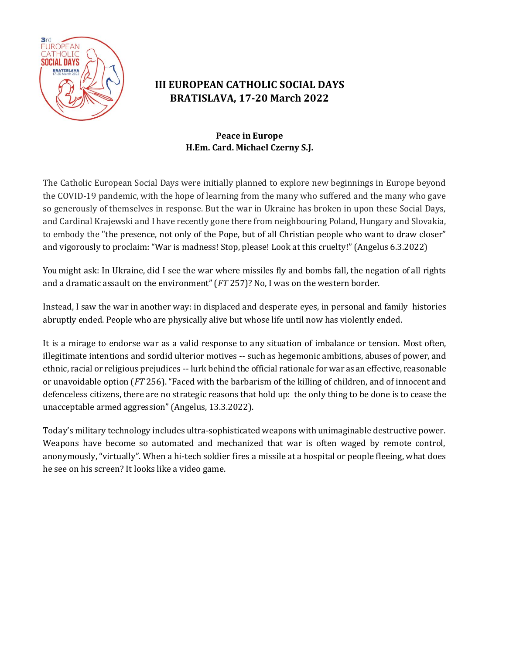

## **III EUROPEAN CATHOLIC SOCIAL DAYS BRATISLAVA, 17-20 March 2022**

## **Peace in Europe H.Em. Card. Michael Czerny S.J.**

The Catholic European Social Days were initially planned to explore new beginnings in Europe beyond the COVID-19 pandemic, with the hope of learning from the many who suffered and the many who gave so generously of themselves in response. But the war in Ukraine has broken in upon these Social Days, and Cardinal Krajewski and I have recently gone there from neighbouring Poland, Hungary and Slovakia, to embody the "the presence, not only of the Pope, but of all Christian people who want to draw closer" and vigorously to proclaim: "War is madness! Stop, please! Look at this cruelty!" (Angelus 6.3.2022)

You might ask: In Ukraine, did I see the war where missiles fly and bombs fall, the negation of all rights and a dramatic assault on the environment" (*FT* 257)? No, I was on the western border.

Instead, I saw the war in another way: in displaced and desperate eyes, in personal and family histories abruptly ended. People who are physically alive but whose life until now has violently ended.

It is a mirage to endorse war as a valid response to any situation of imbalance or tension. Most often, illegitimate intentions and sordid ulterior motives -- such as hegemonic ambitions, abuses of power, and ethnic, racial or religious prejudices -- lurk behind the official rationale for war as an effective, reasonable or unavoidable option (*FT* 256). "Faced with the barbarism of the killing of children, and of innocent and defenceless citizens, there are no strategic reasons that hold up: the only thing to be done is to cease the unacceptable armed aggression" (Angelus, 13.3.2022).

Today's military technology includes ultra-sophisticated weapons with unimaginable destructive power. Weapons have become so automated and mechanized that war is often waged by remote control, anonymously, "virtually". When a hi-tech soldier fires a missile at a hospital or people fleeing, what does he see on his screen? It looks like a video game.